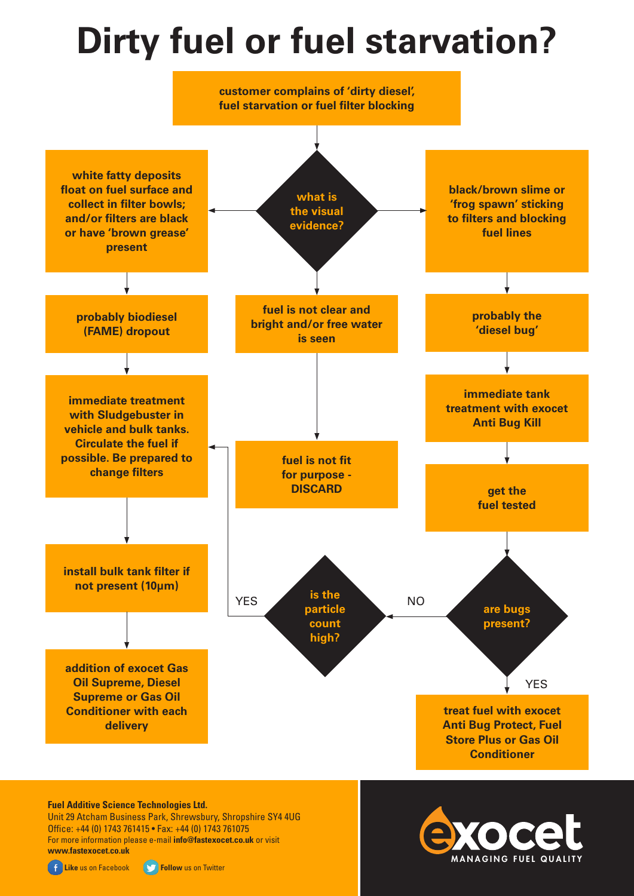## **Dirty fuel or fuel starvation?**



## **Fuel Additive Science Technologies Ltd.**

Unit 29 Atcham Business Park, Shrewsbury, Shropshire SY4 4UG Office: +44 (0) 1743 761415 • Fax: +44 (0) 1743 761075 For more information please e-mail **info@fastexocet.co.uk** or visit **www.fastexocet.co.uk**